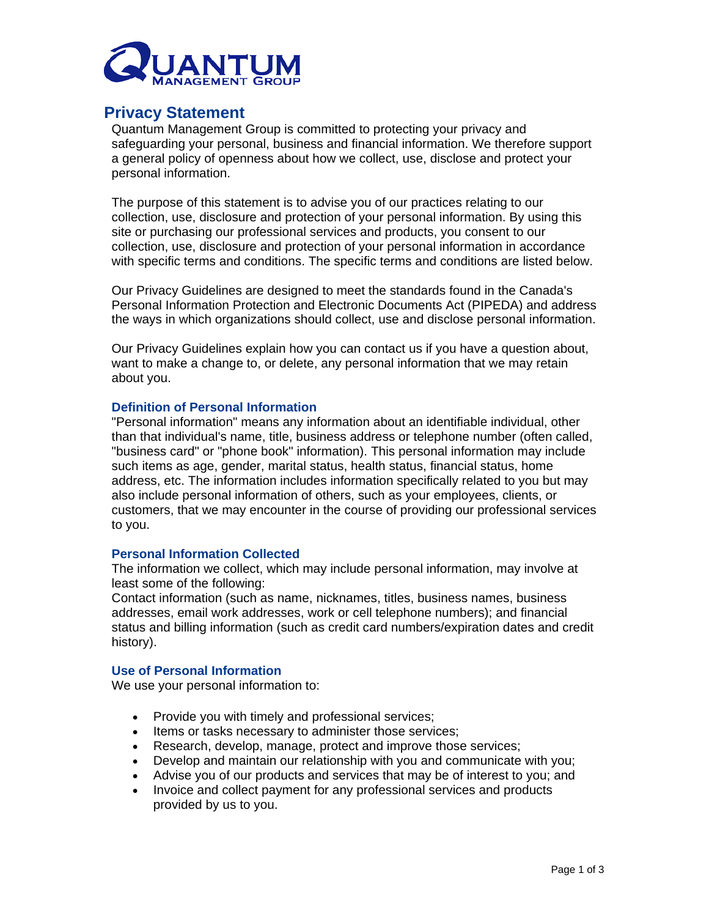

# **Privacy Statement**

Quantum Management Group is committed to protecting your privacy and safeguarding your personal, business and financial information. We therefore support a general policy of openness about how we collect, use, disclose and protect your personal information.

The purpose of this statement is to advise you of our practices relating to our collection, use, disclosure and protection of your personal information. By using this site or purchasing our professional services and products, you consent to our collection, use, disclosure and protection of your personal information in accordance with specific terms and conditions. The specific terms and conditions are listed below.

Our Privacy Guidelines are designed to meet the standards found in the Canada's Personal Information Protection and Electronic Documents Act (PIPEDA) and address the ways in which organizations should collect, use and disclose personal information.

Our Privacy Guidelines explain how you can contact us if you have a question about, want to make a change to, or delete, any personal information that we may retain about you.

# **Definition of Personal Information**

"Personal information" means any information about an identifiable individual, other than that individual's name, title, business address or telephone number (often called, "business card" or "phone book" information). This personal information may include such items as age, gender, marital status, health status, financial status, home address, etc. The information includes information specifically related to you but may also include personal information of others, such as your employees, clients, or customers, that we may encounter in the course of providing our professional services to you.

# **Personal Information Collected**

The information we collect, which may include personal information, may involve at least some of the following:

Contact information (such as name, nicknames, titles, business names, business addresses, email work addresses, work or cell telephone numbers); and financial status and billing information (such as credit card numbers/expiration dates and credit history).

# **Use of Personal Information**

We use your personal information to:

- Provide you with timely and professional services;
- Items or tasks necessary to administer those services;
- Research, develop, manage, protect and improve those services;
- Develop and maintain our relationship with you and communicate with you;
- Advise you of our products and services that may be of interest to you; and
- Invoice and collect payment for any professional services and products provided by us to you.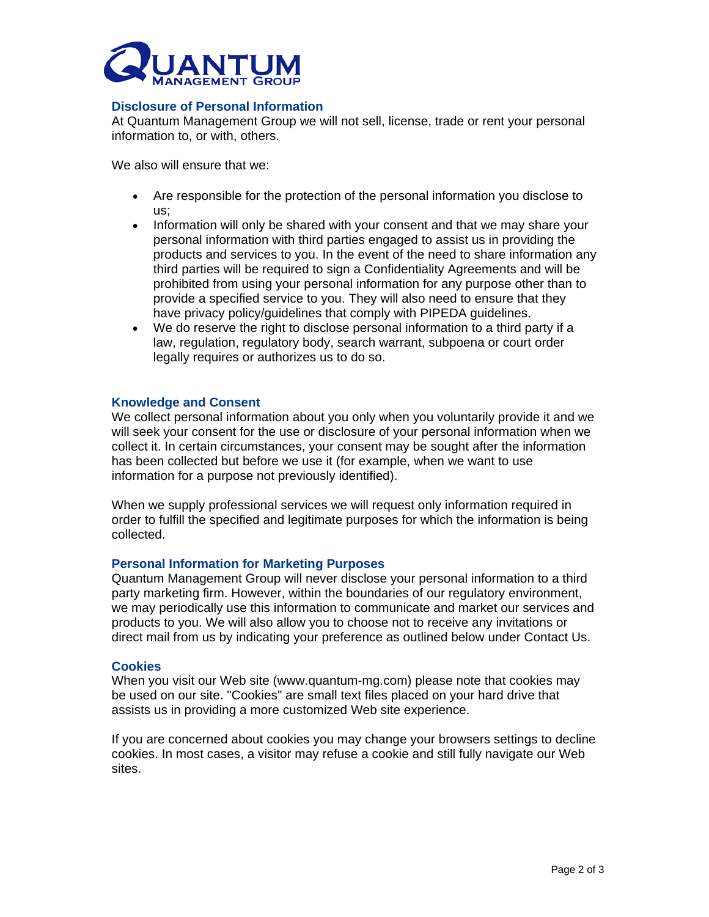

# **Disclosure of Personal Information**

At Quantum Management Group we will not sell, license, trade or rent your personal information to, or with, others.

We also will ensure that we:

- Are responsible for the protection of the personal information you disclose to us;
- Information will only be shared with your consent and that we may share your personal information with third parties engaged to assist us in providing the products and services to you. In the event of the need to share information any third parties will be required to sign a Confidentiality Agreements and will be prohibited from using your personal information for any purpose other than to provide a specified service to you. They will also need to ensure that they have privacy policy/guidelines that comply with PIPEDA guidelines.
- We do reserve the right to disclose personal information to a third party if a law, regulation, regulatory body, search warrant, subpoena or court order legally requires or authorizes us to do so.

#### **Knowledge and Consent**

We collect personal information about you only when you voluntarily provide it and we will seek your consent for the use or disclosure of your personal information when we collect it. In certain circumstances, your consent may be sought after the information has been collected but before we use it (for example, when we want to use information for a purpose not previously identified).

When we supply professional services we will request only information required in order to fulfill the specified and legitimate purposes for which the information is being collected.

# **Personal Information for Marketing Purposes**

Quantum Management Group will never disclose your personal information to a third party marketing firm. However, within the boundaries of our regulatory environment, we may periodically use this information to communicate and market our services and products to you. We will also allow you to choose not to receive any invitations or direct mail from us by indicating your preference as outlined below under Contact Us.

#### **Cookies**

When you visit our Web site (www.quantum-mg.com) please note that cookies may be used on our site. "Cookies" are small text files placed on your hard drive that assists us in providing a more customized Web site experience.

If you are concerned about cookies you may change your browsers settings to decline cookies. In most cases, a visitor may refuse a cookie and still fully navigate our Web sites.